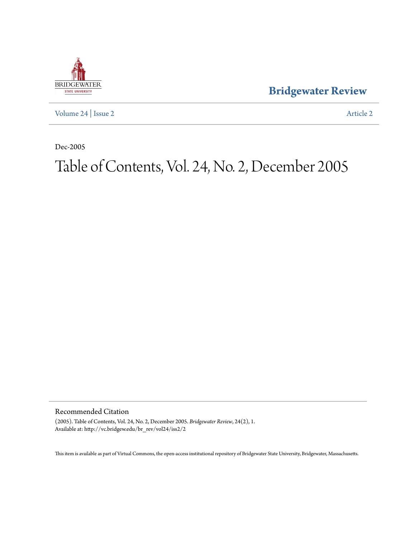

**[Bridgewater Review](http://vc.bridgew.edu/br_rev)**

[Volume 24](http://vc.bridgew.edu/br_rev/vol24) | [Issue 2](http://vc.bridgew.edu/br_rev/vol24/iss2) [Article 2](http://vc.bridgew.edu/br_rev/vol24/iss2/2)

Dec-2005

## Table of Contents, Vol. 24, No. 2, December 2005

Recommended Citation

(2005). Table of Contents, Vol. 24, No. 2, December 2005. *Bridgewater Review*, 24(2), 1. Available at: http://vc.bridgew.edu/br\_rev/vol24/iss2/2

This item is available as part of Virtual Commons, the open-access institutional repository of Bridgewater State University, Bridgewater, Massachusetts.